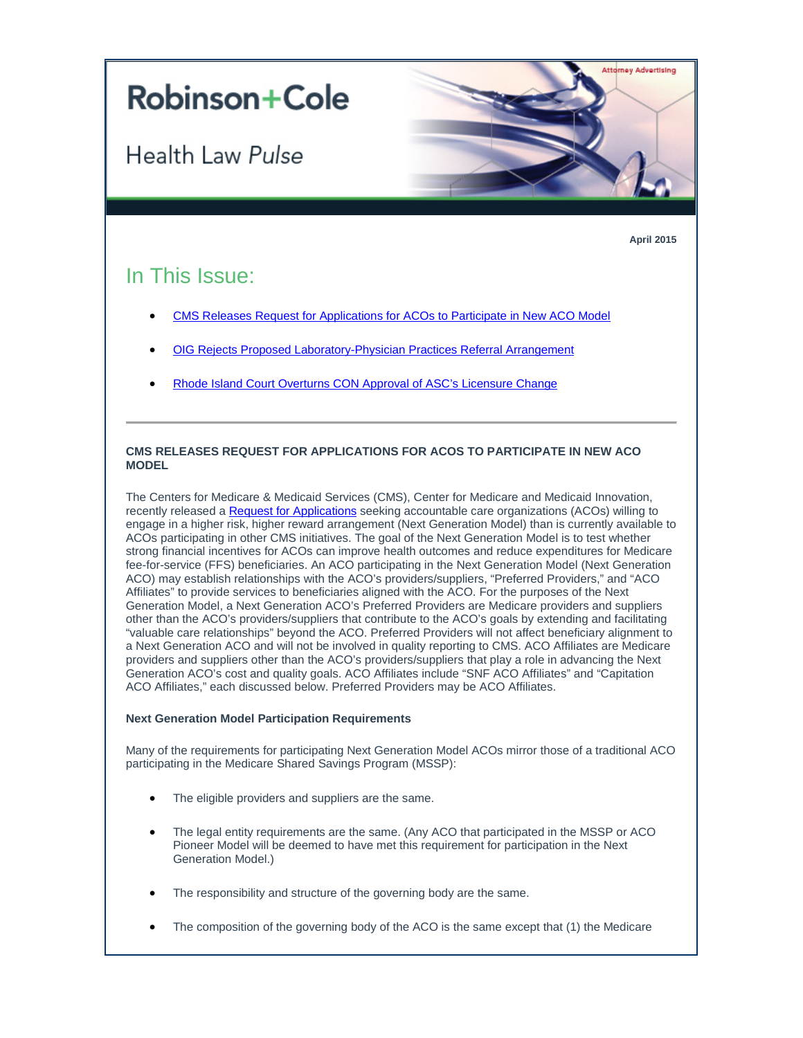

**Health Law Pulse** 



**Attorney Advertising** 

# In This Issue:

- [CMS Releases Request for Applications for ACOs to Participate in New ACO Model](#page-0-0)
- [OIG Rejects Proposed Laboratory-Physician Practices Referral Arrangement](#page-4-0)
- [Rhode Island Court Overturns CON Approval of ASC's Licensure Change](#page-5-0)

# <span id="page-0-0"></span>**CMS RELEASES REQUEST FOR APPLICATIONS FOR ACOS TO PARTICIPATE IN NEW ACO MODEL**

The Centers for Medicare & Medicaid Services (CMS), Center for Medicare and Medicaid Innovation, recently released [a Request for Applications](http://t2806904.omkt.co/track.aspx?id=402|2AD478|6F10|4379|9EB|0|AA5|1|70EF63C4&destination=http%3a%2f%2finnovation.cms.gov%2fFiles%2fx%2fnextgenacorfa.pdf&dchk=46E0B754) seeking accountable care organizations (ACOs) willing to engage in a higher risk, higher reward arrangement (Next Generation Model) than is currently available to ACOs participating in other CMS initiatives. The goal of the Next Generation Model is to test whether strong financial incentives for ACOs can improve health outcomes and reduce expenditures for Medicare fee-for-service (FFS) beneficiaries. An ACO participating in the Next Generation Model (Next Generation ACO) may establish relationships with the ACO's providers/suppliers, "Preferred Providers," and "ACO Affiliates" to provide services to beneficiaries aligned with the ACO. For the purposes of the Next Generation Model, a Next Generation ACO's Preferred Providers are Medicare providers and suppliers other than the ACO's providers/suppliers that contribute to the ACO's goals by extending and facilitating "valuable care relationships" beyond the ACO. Preferred Providers will not affect beneficiary alignment to a Next Generation ACO and will not be involved in quality reporting to CMS. ACO Affiliates are Medicare providers and suppliers other than the ACO's providers/suppliers that play a role in advancing the Next Generation ACO's cost and quality goals. ACO Affiliates include "SNF ACO Affiliates" and "Capitation ACO Affiliates," each discussed below. Preferred Providers may be ACO Affiliates.

# **Next Generation Model Participation Requirements**

Many of the requirements for participating Next Generation Model ACOs mirror those of a traditional ACO participating in the Medicare Shared Savings Program (MSSP):

- The eligible providers and suppliers are the same.
- The legal entity requirements are the same. (Any ACO that participated in the MSSP or ACO Pioneer Model will be deemed to have met this requirement for participation in the Next Generation Model.)
- The responsibility and structure of the governing body are the same.
- The composition of the governing body of the ACO is the same except that (1) the Medicare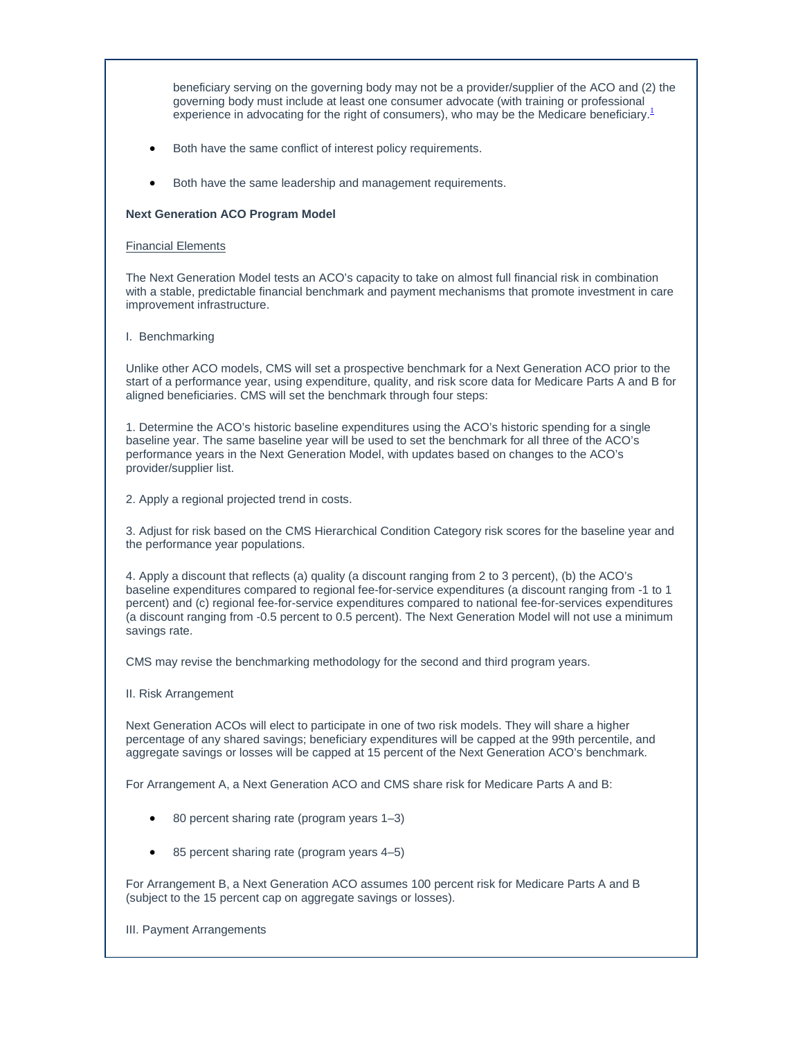beneficiary serving on the governing body may not be a provider/supplier of the ACO and (2) the governing body must include at least one consumer advocate (with training or professional experience in advocating for the right of consumers), who may be the Medicare beneficiar[y.](#page-3-0)<sup>1</sup>

- Both have the same conflict of interest policy requirements.
- Both have the same leadership and management requirements.

#### **Next Generation ACO Program Model**

#### Financial Elements

The Next Generation Model tests an ACO's capacity to take on almost full financial risk in combination with a stable, predictable financial benchmark and payment mechanisms that promote investment in care improvement infrastructure.

### I. Benchmarking

Unlike other ACO models, CMS will set a prospective benchmark for a Next Generation ACO prior to the start of a performance year, using expenditure, quality, and risk score data for Medicare Parts A and B for aligned beneficiaries. CMS will set the benchmark through four steps:

1. Determine the ACO's historic baseline expenditures using the ACO's historic spending for a single baseline year. The same baseline year will be used to set the benchmark for all three of the ACO's performance years in the Next Generation Model, with updates based on changes to the ACO's provider/supplier list.

2. Apply a regional projected trend in costs.

3. Adjust for risk based on the CMS Hierarchical Condition Category risk scores for the baseline year and the performance year populations.

4. Apply a discount that reflects (a) quality (a discount ranging from 2 to 3 percent), (b) the ACO's baseline expenditures compared to regional fee-for-service expenditures (a discount ranging from -1 to 1 percent) and (c) regional fee-for-service expenditures compared to national fee-for-services expenditures (a discount ranging from -0.5 percent to 0.5 percent). The Next Generation Model will not use a minimum savings rate.

CMS may revise the benchmarking methodology for the second and third program years.

## II. Risk Arrangement

Next Generation ACOs will elect to participate in one of two risk models. They will share a higher percentage of any shared savings; beneficiary expenditures will be capped at the 99th percentile, and aggregate savings or losses will be capped at 15 percent of the Next Generation ACO's benchmark.

For Arrangement A, a Next Generation ACO and CMS share risk for Medicare Parts A and B:

- 80 percent sharing rate (program years 1–3)
- 85 percent sharing rate (program years 4–5)

For Arrangement B, a Next Generation ACO assumes 100 percent risk for Medicare Parts A and B (subject to the 15 percent cap on aggregate savings or losses).

III. Payment Arrangements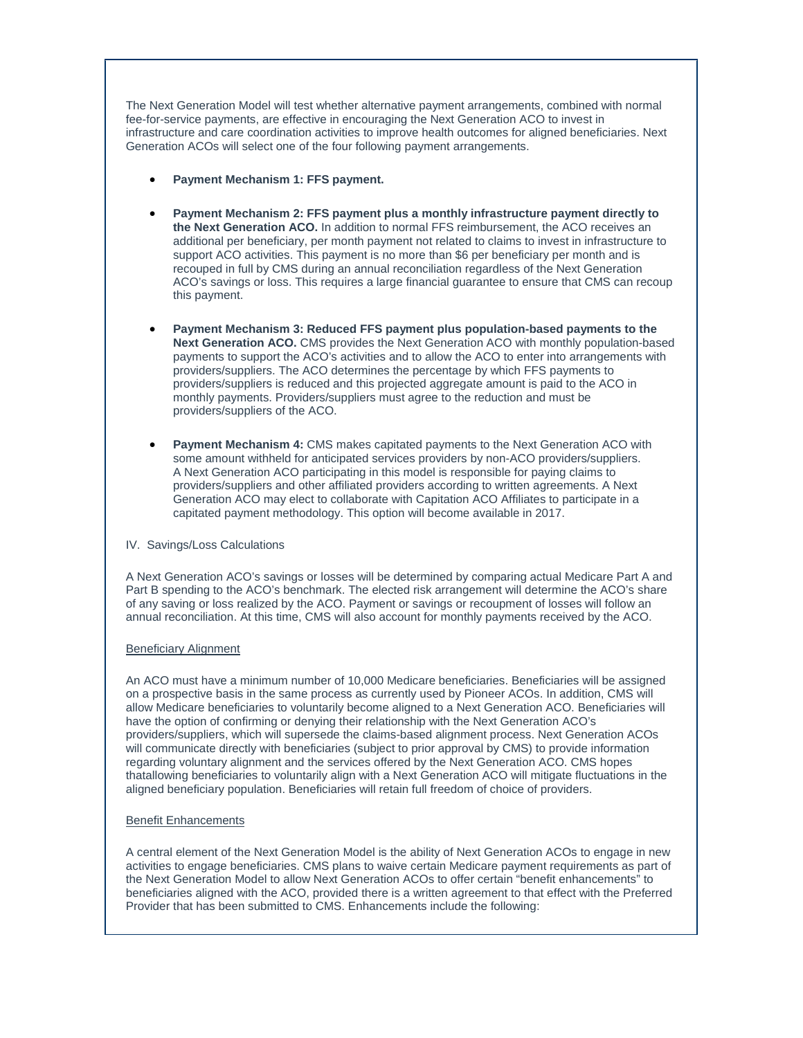The Next Generation Model will test whether alternative payment arrangements, combined with normal fee-for-service payments, are effective in encouraging the Next Generation ACO to invest in infrastructure and care coordination activities to improve health outcomes for aligned beneficiaries. Next Generation ACOs will select one of the four following payment arrangements.

- **Payment Mechanism 1: FFS payment.**
- **Payment Mechanism 2: FFS payment plus a monthly infrastructure payment directly to the Next Generation ACO.** In addition to normal FFS reimbursement, the ACO receives an additional per beneficiary, per month payment not related to claims to invest in infrastructure to support ACO activities. This payment is no more than \$6 per beneficiary per month and is recouped in full by CMS during an annual reconciliation regardless of the Next Generation ACO's savings or loss. This requires a large financial guarantee to ensure that CMS can recoup this payment.
- **Payment Mechanism 3: Reduced FFS payment plus population-based payments to the Next Generation ACO.** CMS provides the Next Generation ACO with monthly population-based payments to support the ACO's activities and to allow the ACO to enter into arrangements with providers/suppliers. The ACO determines the percentage by which FFS payments to providers/suppliers is reduced and this projected aggregate amount is paid to the ACO in monthly payments. Providers/suppliers must agree to the reduction and must be providers/suppliers of the ACO.
- **Payment Mechanism 4:** CMS makes capitated payments to the Next Generation ACO with some amount withheld for anticipated services providers by non-ACO providers/suppliers. A Next Generation ACO participating in this model is responsible for paying claims to providers/suppliers and other affiliated providers according to written agreements. A Next Generation ACO may elect to collaborate with Capitation ACO Affiliates to participate in a capitated payment methodology. This option will become available in 2017.

#### IV. Savings/Loss Calculations

A Next Generation ACO's savings or losses will be determined by comparing actual Medicare Part A and Part B spending to the ACO's benchmark. The elected risk arrangement will determine the ACO's share of any saving or loss realized by the ACO. Payment or savings or recoupment of losses will follow an annual reconciliation. At this time, CMS will also account for monthly payments received by the ACO.

# Beneficiary Alignment

An ACO must have a minimum number of 10,000 Medicare beneficiaries. Beneficiaries will be assigned on a prospective basis in the same process as currently used by Pioneer ACOs. In addition, CMS will allow Medicare beneficiaries to voluntarily become aligned to a Next Generation ACO. Beneficiaries will have the option of confirming or denying their relationship with the Next Generation ACO's providers/suppliers, which will supersede the claims-based alignment process. Next Generation ACOs will communicate directly with beneficiaries (subject to prior approval by CMS) to provide information regarding voluntary alignment and the services offered by the Next Generation ACO. CMS hopes thatallowing beneficiaries to voluntarily align with a Next Generation ACO will mitigate fluctuations in the aligned beneficiary population. Beneficiaries will retain full freedom of choice of providers.

# Benefit Enhancements

A central element of the Next Generation Model is the ability of Next Generation ACOs to engage in new activities to engage beneficiaries. CMS plans to waive certain Medicare payment requirements as part of the Next Generation Model to allow Next Generation ACOs to offer certain "benefit enhancements" to beneficiaries aligned with the ACO, provided there is a written agreement to that effect with the Preferred Provider that has been submitted to CMS. Enhancements include the following: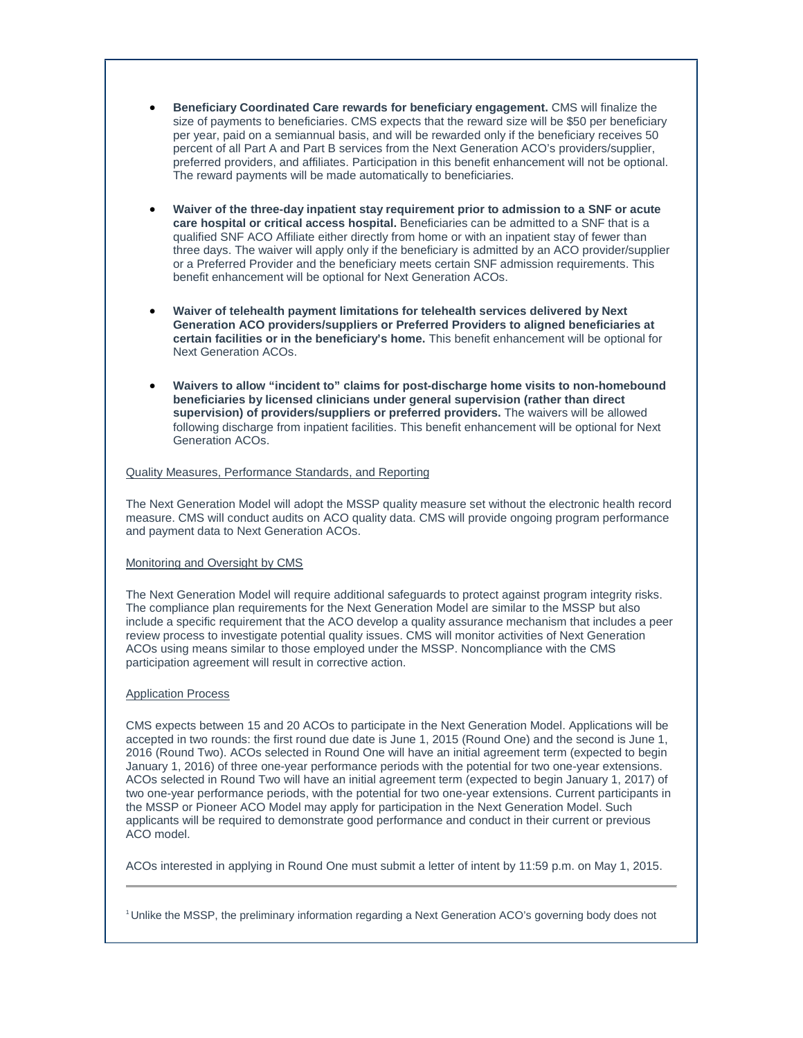- **Beneficiary Coordinated Care rewards for beneficiary engagement.** CMS will finalize the size of payments to beneficiaries. CMS expects that the reward size will be \$50 per beneficiary per year, paid on a semiannual basis, and will be rewarded only if the beneficiary receives 50 percent of all Part A and Part B services from the Next Generation ACO's providers/supplier, preferred providers, and affiliates. Participation in this benefit enhancement will not be optional. The reward payments will be made automatically to beneficiaries.
- **Waiver of the three-day inpatient stay requirement prior to admission to a SNF or acute care hospital or critical access hospital.** Beneficiaries can be admitted to a SNF that is a qualified SNF ACO Affiliate either directly from home or with an inpatient stay of fewer than three days. The waiver will apply only if the beneficiary is admitted by an ACO provider/supplier or a Preferred Provider and the beneficiary meets certain SNF admission requirements. This benefit enhancement will be optional for Next Generation ACOs.
- **Waiver of telehealth payment limitations for telehealth services delivered by Next Generation ACO providers/suppliers or Preferred Providers to aligned beneficiaries at certain facilities or in the beneficiary's home.** This benefit enhancement will be optional for Next Generation ACOs.
- **Waivers to allow "incident to" claims for post-discharge home visits to non-homebound beneficiaries by licensed clinicians under general supervision (rather than direct supervision) of providers/suppliers or preferred providers.** The waivers will be allowed following discharge from inpatient facilities. This benefit enhancement will be optional for Next Generation ACOs.

# Quality Measures, Performance Standards, and Reporting

The Next Generation Model will adopt the MSSP quality measure set without the electronic health record measure. CMS will conduct audits on ACO quality data. CMS will provide ongoing program performance and payment data to Next Generation ACOs.

# Monitoring and Oversight by CMS

The Next Generation Model will require additional safeguards to protect against program integrity risks. The compliance plan requirements for the Next Generation Model are similar to the MSSP but also include a specific requirement that the ACO develop a quality assurance mechanism that includes a peer review process to investigate potential quality issues. CMS will monitor activities of Next Generation ACOs using means similar to those employed under the MSSP. Noncompliance with the CMS participation agreement will result in corrective action.

# Application Process

CMS expects between 15 and 20 ACOs to participate in the Next Generation Model. Applications will be accepted in two rounds: the first round due date is June 1, 2015 (Round One) and the second is June 1, 2016 (Round Two). ACOs selected in Round One will have an initial agreement term (expected to begin January 1, 2016) of three one-year performance periods with the potential for two one-year extensions. ACOs selected in Round Two will have an initial agreement term (expected to begin January 1, 2017) of two one-year performance periods, with the potential for two one-year extensions. Current participants in the MSSP or Pioneer ACO Model may apply for participation in the Next Generation Model. Such applicants will be required to demonstrate good performance and conduct in their current or previous ACO model.

ACOs interested in applying in Round One must submit a letter of intent by 11:59 p.m. on May 1, 2015.

<span id="page-3-0"></span><sup>1</sup> Unlike the MSSP, the preliminary information regarding a Next Generation ACO's governing body does not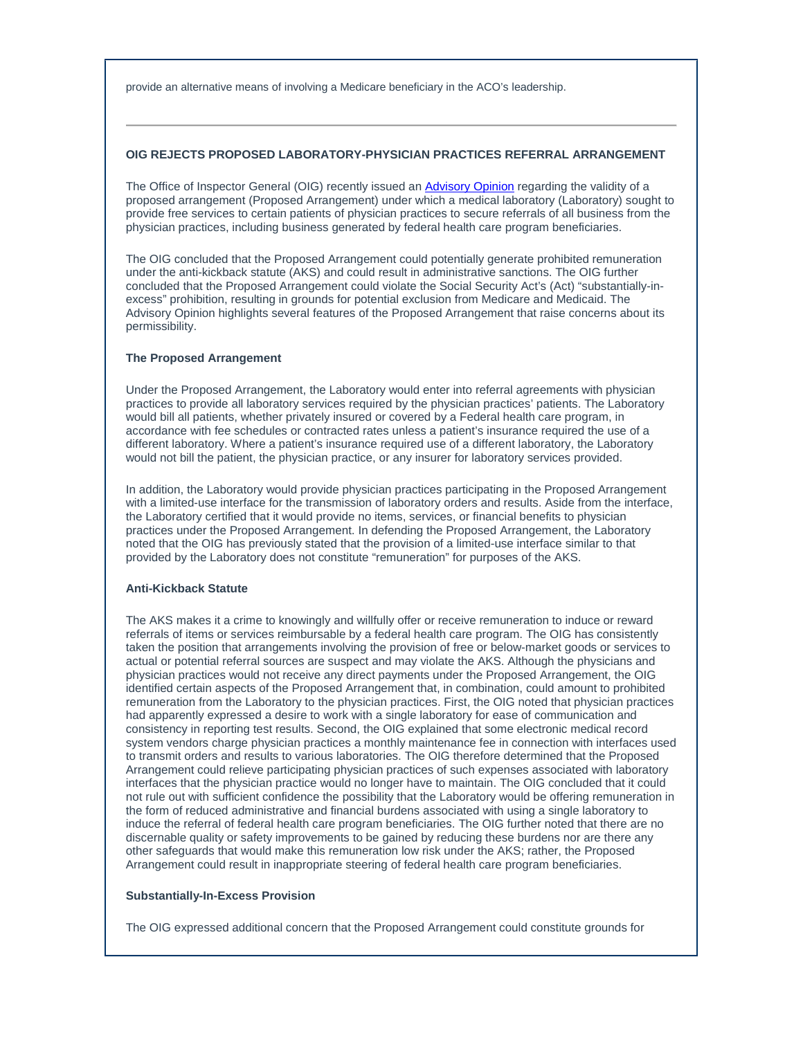provide an alternative means of involving a Medicare beneficiary in the ACO's leadership.

# <span id="page-4-0"></span>**OIG REJECTS PROPOSED LABORATORY-PHYSICIAN PRACTICES REFERRAL ARRANGEMENT**

The Office of Inspector General (OIG) recently issued an [Advisory Opinion](http://t2806904.omkt.co/track.aspx?id=402|2AD478|6F10|4379|9EB|0|AA6|1|70EF63C4&destination=http%3a%2f%2foig.hhs.gov%2ffraud%2fdocs%2fadvisoryopinions%2f2015%2fAdvOpn15-04.pdf&dchk=40EFD620) regarding the validity of a proposed arrangement (Proposed Arrangement) under which a medical laboratory (Laboratory) sought to provide free services to certain patients of physician practices to secure referrals of all business from the physician practices, including business generated by federal health care program beneficiaries.

The OIG concluded that the Proposed Arrangement could potentially generate prohibited remuneration under the anti-kickback statute (AKS) and could result in administrative sanctions. The OIG further concluded that the Proposed Arrangement could violate the Social Security Act's (Act) "substantially-inexcess" prohibition, resulting in grounds for potential exclusion from Medicare and Medicaid. The Advisory Opinion highlights several features of the Proposed Arrangement that raise concerns about its permissibility.

### **The Proposed Arrangement**

Under the Proposed Arrangement, the Laboratory would enter into referral agreements with physician practices to provide all laboratory services required by the physician practices' patients. The Laboratory would bill all patients, whether privately insured or covered by a Federal health care program, in accordance with fee schedules or contracted rates unless a patient's insurance required the use of a different laboratory. Where a patient's insurance required use of a different laboratory, the Laboratory would not bill the patient, the physician practice, or any insurer for laboratory services provided.

In addition, the Laboratory would provide physician practices participating in the Proposed Arrangement with a limited-use interface for the transmission of laboratory orders and results. Aside from the interface, the Laboratory certified that it would provide no items, services, or financial benefits to physician practices under the Proposed Arrangement. In defending the Proposed Arrangement, the Laboratory noted that the OIG has previously stated that the provision of a limited-use interface similar to that provided by the Laboratory does not constitute "remuneration" for purposes of the AKS.

#### **Anti-Kickback Statute**

The AKS makes it a crime to knowingly and willfully offer or receive remuneration to induce or reward referrals of items or services reimbursable by a federal health care program. The OIG has consistently taken the position that arrangements involving the provision of free or below-market goods or services to actual or potential referral sources are suspect and may violate the AKS. Although the physicians and physician practices would not receive any direct payments under the Proposed Arrangement, the OIG identified certain aspects of the Proposed Arrangement that, in combination, could amount to prohibited remuneration from the Laboratory to the physician practices. First, the OIG noted that physician practices had apparently expressed a desire to work with a single laboratory for ease of communication and consistency in reporting test results. Second, the OIG explained that some electronic medical record system vendors charge physician practices a monthly maintenance fee in connection with interfaces used to transmit orders and results to various laboratories. The OIG therefore determined that the Proposed Arrangement could relieve participating physician practices of such expenses associated with laboratory interfaces that the physician practice would no longer have to maintain. The OIG concluded that it could not rule out with sufficient confidence the possibility that the Laboratory would be offering remuneration in the form of reduced administrative and financial burdens associated with using a single laboratory to induce the referral of federal health care program beneficiaries. The OIG further noted that there are no discernable quality or safety improvements to be gained by reducing these burdens nor are there any other safeguards that would make this remuneration low risk under the AKS; rather, the Proposed Arrangement could result in inappropriate steering of federal health care program beneficiaries.

### **Substantially-In-Excess Provision**

The OIG expressed additional concern that the Proposed Arrangement could constitute grounds for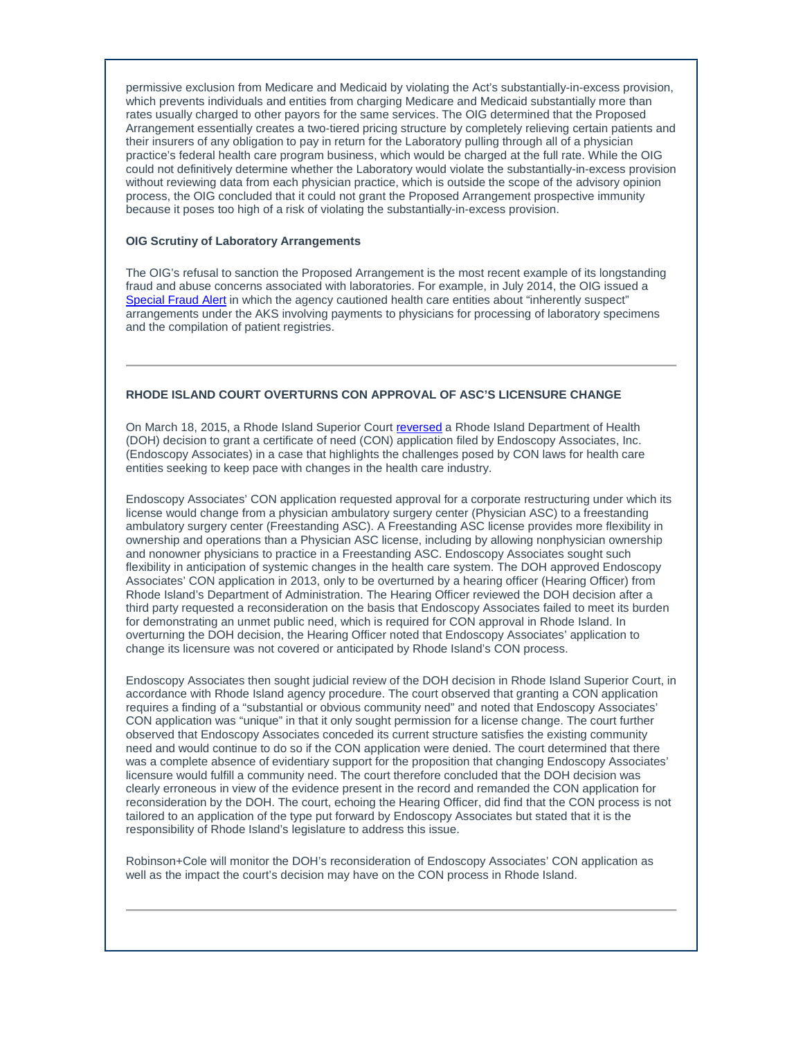permissive exclusion from Medicare and Medicaid by violating the Act's substantially-in-excess provision, which prevents individuals and entities from charging Medicare and Medicaid substantially more than rates usually charged to other payors for the same services. The OIG determined that the Proposed Arrangement essentially creates a two-tiered pricing structure by completely relieving certain patients and their insurers of any obligation to pay in return for the Laboratory pulling through all of a physician practice's federal health care program business, which would be charged at the full rate. While the OIG could not definitively determine whether the Laboratory would violate the substantially-in-excess provision without reviewing data from each physician practice, which is outside the scope of the advisory opinion process, the OIG concluded that it could not grant the Proposed Arrangement prospective immunity because it poses too high of a risk of violating the substantially-in-excess provision.

#### **OIG Scrutiny of Laboratory Arrangements**

The OIG's refusal to sanction the Proposed Arrangement is the most recent example of its longstanding fraud and abuse concerns associated with laboratories. For example, in July 2014, the OIG issued a [Special Fraud Alert](http://t2806904.omkt.co/track.aspx?id=402|2AD478|6F10|4379|9EB|0|AA7|1|70EF63C4&destination=http%3a%2f%2fwww.rc.com%2fnewsletters%2f2014%2fupload%2fLegal-Update_Health-Law-Pulse_7-25-14.pdf%3futm_source%3dVocus%26utm_medium%3demail%26utm_campaign%3dRobinson%2b%2526%2bCole%2bLLP%26utm_content%3dBHC%2bHealth%2bLaw%2bPulse%2b%2bApril%2b2015&dchk=5FECDC7C) in which the agency cautioned health care entities about "inherently suspect" arrangements under the AKS involving payments to physicians for processing of laboratory specimens and the compilation of patient registries.

### <span id="page-5-0"></span>**RHODE ISLAND COURT OVERTURNS CON APPROVAL OF ASC'S LICENSURE CHANGE**

On March 18, 2015, a Rhode Island Superior Court [reversed](http://t2806904.omkt.co/track.aspx?id=402|2AD478|6F10|4379|9EB|0|AA8|1|70EF63C4&destination=https%3a%2f%2fwww.courts.ri.gov%2fCourts%2fSuperiorCourt%2fSuperiorDecisions%2f14-0891.pdf&dchk=11C8B16B) a Rhode Island Department of Health (DOH) decision to grant a certificate of need (CON) application filed by Endoscopy Associates, Inc. (Endoscopy Associates) in a case that highlights the challenges posed by CON laws for health care entities seeking to keep pace with changes in the health care industry.

Endoscopy Associates' CON application requested approval for a corporate restructuring under which its license would change from a physician ambulatory surgery center (Physician ASC) to a freestanding ambulatory surgery center (Freestanding ASC). A Freestanding ASC license provides more flexibility in ownership and operations than a Physician ASC license, including by allowing nonphysician ownership and nonowner physicians to practice in a Freestanding ASC. Endoscopy Associates sought such flexibility in anticipation of systemic changes in the health care system. The DOH approved Endoscopy Associates' CON application in 2013, only to be overturned by a hearing officer (Hearing Officer) from Rhode Island's Department of Administration. The Hearing Officer reviewed the DOH decision after a third party requested a reconsideration on the basis that Endoscopy Associates failed to meet its burden for demonstrating an unmet public need, which is required for CON approval in Rhode Island. In overturning the DOH decision, the Hearing Officer noted that Endoscopy Associates' application to change its licensure was not covered or anticipated by Rhode Island's CON process.

Endoscopy Associates then sought judicial review of the DOH decision in Rhode Island Superior Court, in accordance with Rhode Island agency procedure. The court observed that granting a CON application requires a finding of a "substantial or obvious community need" and noted that Endoscopy Associates' CON application was "unique" in that it only sought permission for a license change. The court further observed that Endoscopy Associates conceded its current structure satisfies the existing community need and would continue to do so if the CON application were denied. The court determined that there was a complete absence of evidentiary support for the proposition that changing Endoscopy Associates' licensure would fulfill a community need. The court therefore concluded that the DOH decision was clearly erroneous in view of the evidence present in the record and remanded the CON application for reconsideration by the DOH. The court, echoing the Hearing Officer, did find that the CON process is not tailored to an application of the type put forward by Endoscopy Associates but stated that it is the responsibility of Rhode Island's legislature to address this issue.

Robinson+Cole will monitor the DOH's reconsideration of Endoscopy Associates' CON application as well as the impact the court's decision may have on the CON process in Rhode Island.